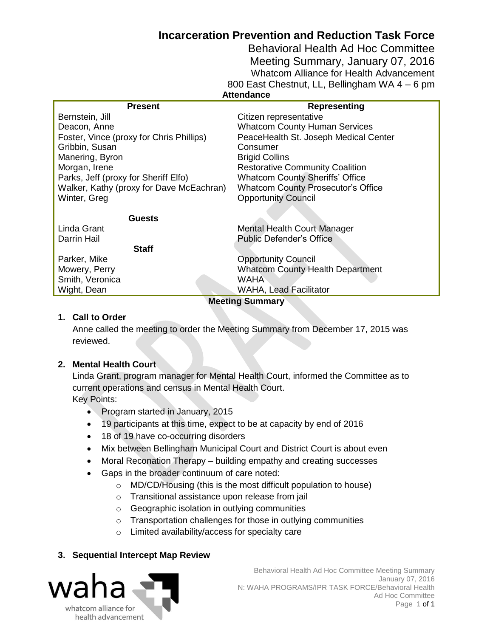## **Incarceration Prevention and Reduction Task Force**

Behavioral Health Ad Hoc Committee Meeting Summary, January 07, 2016 Whatcom Alliance for Health Advancement 800 East Chestnut, LL, Bellingham WA 4 – 6 pm **Attendance**

| <b>Present</b>                           | <b>Representing</b>                       |
|------------------------------------------|-------------------------------------------|
| Bernstein, Jill                          | Citizen representative                    |
| Deacon, Anne                             | <b>Whatcom County Human Services</b>      |
| Foster, Vince (proxy for Chris Phillips) | PeaceHealth St. Joseph Medical Center     |
| Gribbin, Susan                           | Consumer                                  |
| Manering, Byron                          | <b>Brigid Collins</b>                     |
| Morgan, Irene                            | <b>Restorative Community Coalition</b>    |
| Parks, Jeff (proxy for Sheriff Elfo)     | <b>Whatcom County Sheriffs' Office</b>    |
| Walker, Kathy (proxy for Dave McEachran) | <b>Whatcom County Prosecutor's Office</b> |
| Winter, Greg                             | <b>Opportunity Council</b>                |
|                                          |                                           |
| <b>Guests</b>                            |                                           |
| Linda Grant                              | <b>Mental Health Court Manager</b>        |
| Darrin Hail                              | <b>Public Defender's Office</b>           |
| <b>Staff</b>                             |                                           |
| Parker, Mike                             | <b>Opportunity Council</b>                |
| Mowery, Perry                            | <b>Whatcom County Health Department</b>   |
| Smith, Veronica                          | <b>WAHA</b>                               |
| Wight, Dean                              | WAHA, Lead Facilitator                    |
| <b>Meeting Summary</b>                   |                                           |

#### **1. Call to Order**

Anne called the meeting to order the Meeting Summary from December 17, 2015 was reviewed.

#### **2. Mental Health Court**

Linda Grant, program manager for Mental Health Court, informed the Committee as to current operations and census in Mental Health Court. Key Points:

- Program started in January, 2015
- 19 participants at this time, expect to be at capacity by end of 2016
- 18 of 19 have co-occurring disorders
- Mix between Bellingham Municipal Court and District Court is about even
- Moral Reconation Therapy building empathy and creating successes
- Gaps in the broader continuum of care noted:
	- o MD/CD/Housing (this is the most difficult population to house)
	- o Transitional assistance upon release from jail
	- o Geographic isolation in outlying communities
	- o Transportation challenges for those in outlying communities
	- o Limited availability/access for specialty care

#### **3. Sequential Intercept Map Review**



 Behavioral Health Ad Hoc Committee Meeting Summary January 07, 2016 N: WAHA PROGRAMS/IPR TASK FORCE/Behavioral Health Ad Hoc Committee Page 1 of 1